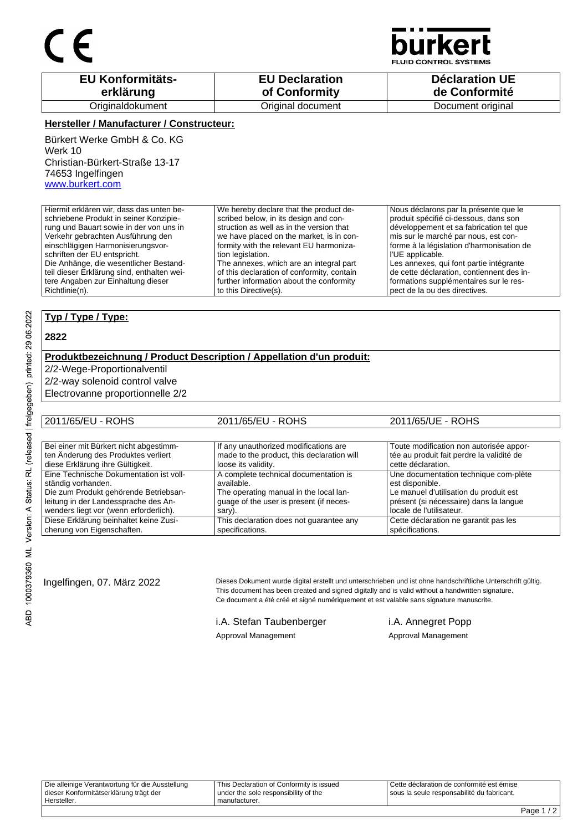

CONTROL SYSTEMS

| <b>EU Konformitäts-</b> | <b>EU Declaration</b> | <b>Déclaration UE</b> |
|-------------------------|-----------------------|-----------------------|
| erklärung               | of Conformity         | de Conformité         |
| Originaldokument        | Original document     | Document original     |

#### **Hersteller / Manufacturer / Constructeur:**

Bürkert Werke GmbH & Co. KG Werk 10 Christian-Bürkert-Straße 13-17 74653 Ingelfingen www.burkert.com

Hiermit erklären wir, dass das unten beschriebene Produkt in seiner Konzipierung und Bauart sowie in der von uns in Verkehr gebrachten Ausführung den einschlägigen Harmonisierungsvorschriften der EU entspricht. Die Anhänge, die wesentlicher Bestandteil dieser Erklärung sind, enthalten weitere Angaben zur Einhaltung dieser Richtlinie(n). We hereby declare that the product described below, in its design and construction as well as in the version that we have placed on the market, is in conformity with the relevant EU harmonization legislation. The annexes, which are an integral part of this declaration of conformity, contain further information about the conformity to this Directive(s). Nous déclarons par la présente que le produit spécifié ci-dessous, dans son développement et sa fabrication tel que mis sur le marché par nous, est conforme à la législation d'harmonisation de l'UE applicable. Les annexes, qui font partie intégrante de cette déclaration, contiennent des informations supplémentaires sur le respect de la ou des directives.

#### **Typ / Type / Type:**

#### **2822**

### **Produktbezeichnung / Product Description / Appellation d'un produit:**

2/2-Wege-Proportionalventil

2/2-way solenoid control valve

Electrovanne proportionnelle 2/2

| 2011/65/EU - ROHS                       | 2011/65/EU - ROHS                          | 2011/65/UE - ROHS                         |
|-----------------------------------------|--------------------------------------------|-------------------------------------------|
|                                         |                                            |                                           |
| Bei einer mit Bürkert nicht abgestimm-  | If any unauthorized modifications are      | Toute modification non autorisée appor-   |
| ten Änderung des Produktes verliert     | made to the product, this declaration will | tée au produit fait perdre la validité de |
| diese Erklärung ihre Gültigkeit.        | loose its validity.                        | cette déclaration.                        |
| Eine Technische Dokumentation ist voll- | A complete technical documentation is      | Une documentation technique com-plète     |
| ständig vorhanden.                      | available.                                 | est disponible.                           |
| Die zum Produkt gehörende Betriebsan-   | The operating manual in the local lan-     | Le manuel d'utilisation du produit est    |
| leitung in der Landessprache des An-    | quage of the user is present (if neces-    | présent (si nécessaire) dans la langue    |
| wenders liegt vor (wenn erforderlich).  | sary).                                     | locale de l'utilisateur.                  |
| Diese Erklärung beinhaltet keine Zusi-  | This declaration does not quarantee any    | Cette déclaration ne garantit pas les     |
| cherung von Eigenschaften.              | specifications.                            | spécifications.                           |

Ingelfingen, 07. März 2022 Dieses Dokument wurde digital erstellt und unterschrieben und ist ohne handschriftliche Unterschrift gültig. This document has been created and signed digitally and is valid without a handwritten signature. Ce document a été créé et signé numériquement et est valable sans signature manuscrite.

> i.A. Stefan Taubenberger i.A. Annegret Popp Approval Management **Approval Management**